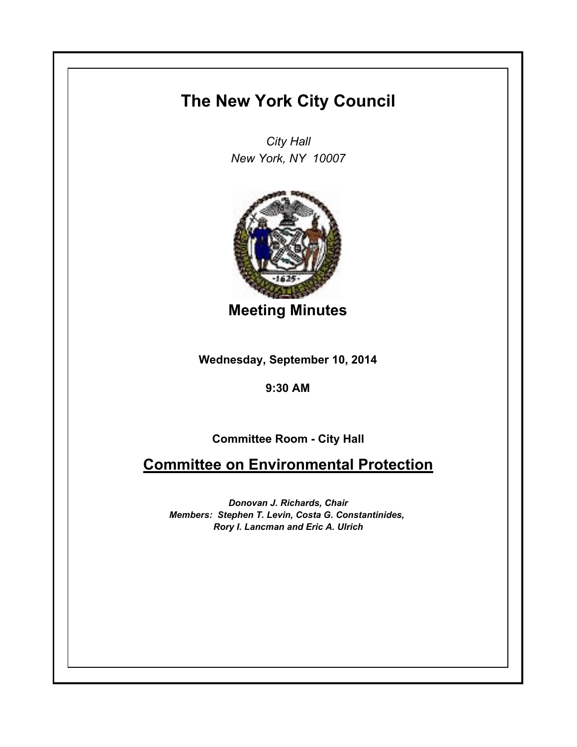## **The New York City Council**

*City Hall New York, NY 10007*



**Meeting Minutes**

**Wednesday, September 10, 2014**

**9:30 AM**

**Committee Room - City Hall**

**Committee on Environmental Protection**

*Donovan J. Richards, Chair Members: Stephen T. Levin, Costa G. Constantinides, Rory I. Lancman and Eric A. Ulrich*